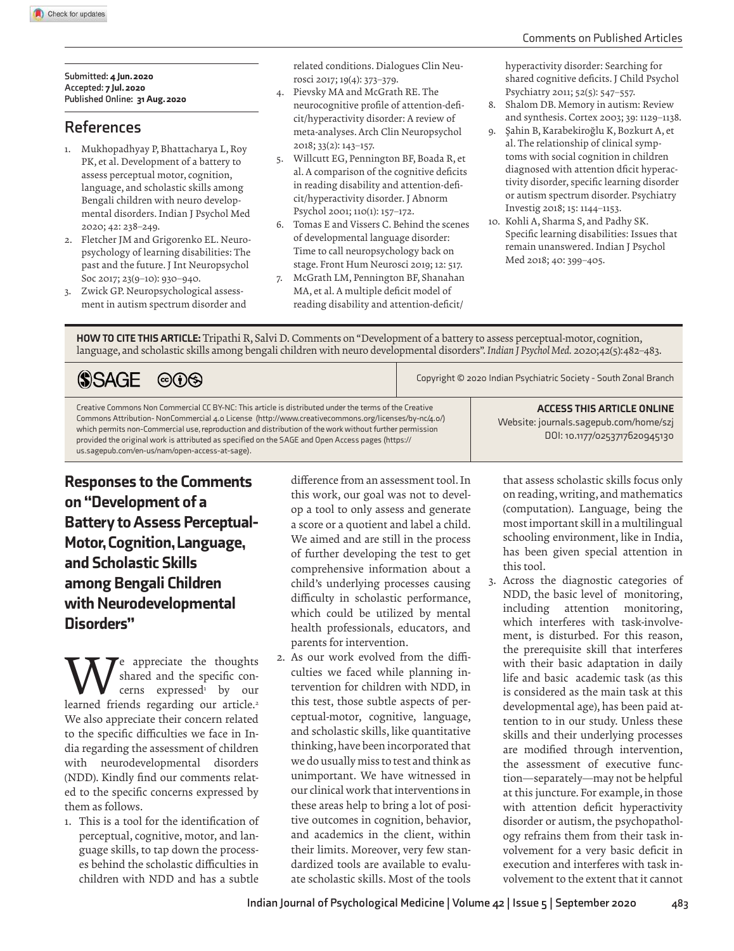### Comments on Published Articles

#### **Submitted:** 4 Jun. 2020 **Accepted:** 7 Jul. 2020 **Published Online:** 31 Aug. 2020

## **R eferences**

- 1. Mukhopadhyay P, Bhattacharya L, Roy PK, et al. Development of a battery to assess perceptual motor, cognition, language, and scholastic skills among Bengali children with neuro developmental disorders. Indian J Psychol Med 2020; 42: 238–249.
- 2. Fletcher JM and Grigorenko EL. Neuropsychology of learning disabilities: The past and the future. J Int Neuropsychol Soc 2017; 23(9–10): 930–940.
- 3. Zwick GP. Neuropsychological assessment in autism spectrum disorder and

related conditions. Dialogues Clin Neurosci 2017; 19(4): 373–379.

- 4. Pievsky MA and McGrath RE. The neurocognitive profile of attention-deficit/hyperactivity disorder: A review of meta-analyses. Arch Clin Neuropsychol 2018; 33(2): 143–157.
- 5. Willcutt EG, Pennington BF, Boada R, et al. A comparison of the cognitive deficits in reading disability and attention-deficit/hyperactivity disorder. J Abnorm Psychol 2001; 110(1): 157–172.
- 6. Tomas E and Vissers C. Behind the scenes of developmental language disorder: Time to call neuropsychology back on stage. Front Hum Neurosci 2019; 12: 517.
- 7. McGrath LM, Pennington BF, Shanahan MA, et al. A multiple deficit model of reading disability and attention-deficit/

hyperactivity disorder: Searching for shared cognitive deficits. J Child Psychol Psychiatry 2011; 52(5): 547–557.

- 8. Shalom DB. Memory in autism: Review and synthesis. Cortex 2003; 39: 1129–1138.
- 9. Şahin B, Karabekiroğlu K, Bozkurt A, et al. The relationship of clinical symptoms with social cognition in children diagnosed with attention dficit hyperactivity disorder, specific learning disorder or autism spectrum disorder. Psychiatry Investig 2018; 15: 1144–1153.
- 10. Kohli A, Sharma S, and Padhy SK. Specific learning disabilities: Issues that remain unanswered. Indian J Psychol Med 2018; 40: 399–405.

HOW TO CITE THIS ARTICLE: Tripathi R, Salvi D. Comments on "Development of a battery to assess perceptual-motor, cognition, language, and scholastic skills among bengali children with neuro developmental disorders". *Indian J Psychol Med.* 2020;42(5):482–483.

| SSAGE © 0                                                                                                                                                                                                                                                                                                                                                                                                                                                                    |  | Copyright © 2020 Indian Psychiatric Society - South Zonal Branch                                             |
|------------------------------------------------------------------------------------------------------------------------------------------------------------------------------------------------------------------------------------------------------------------------------------------------------------------------------------------------------------------------------------------------------------------------------------------------------------------------------|--|--------------------------------------------------------------------------------------------------------------|
| Creative Commons Non Commercial CC BY-NC: This article is distributed under the terms of the Creative<br>Commons Attribution-NonCommercial 4.0 License (http://www.creativecommons.org/licenses/by-nc/4.o/)<br>which permits non-Commercial use, reproduction and distribution of the work without further permission<br>provided the original work is attributed as specified on the SAGE and Open Access pages (https://<br>us.sagepub.com/en-us/nam/open-access-at-sage). |  | <b>ACCESS THIS ARTICLE ONLINE</b><br>Website: journals.sagepub.com/home/szj<br>DOI: 10.1177/0253717620945130 |

Responses to the Comments on "Development of a Battery to Assess Perceptual-Motor, Cognition, Language, and Scholastic Skills among Bengali Children with Neurodevelopmental Disorders"

**W**e appreciate the thoughts<br>
cerns expressed<sup>1</sup> by our<br>
learned friends regarding our article.<sup>2</sup> shared and the specific concerns expressed<sup>1</sup> by our We also appreciate their concern related to the specific difficulties we face in India regarding the assessment of children with neurodevelopmental disorders (NDD). Kindly find our comments related to the specific concerns expressed by them as follows.

1. This is a tool for the identification of perceptual, cognitive, motor, and language skills, to tap down the processes behind the scholastic difficulties in children with NDD and has a subtle

difference from an assessment tool. In this work, our goal was not to develop a tool to only assess and generate a score or a quotient and label a child. We aimed and are still in the process of further developing the test to get comprehensive information about a child's underlying processes causing difficulty in scholastic performance, which could be utilized by mental health professionals, educators, and parents for intervention.

2. As our work evolved from the difficulties we faced while planning intervention for children with NDD, in this test, those subtle aspects of perceptual-motor, cognitive, language, and scholastic skills, like quantitative thinking, have been incorporated that we do usually miss to test and think as unimportant. We have witnessed in our clinical work that interventions in these areas help to bring a lot of positive outcomes in cognition, behavior, and academics in the client, within their limits. Moreover, very few standardized tools are available to evaluate scholastic skills. Most of the tools

that assess scholastic skills focus only on reading, writing, and mathematics (computation). Language, being the most important skill in a multilingual schooling environment, like in India, has been given special attention in this tool.

3. Across the diagnostic categories of NDD, the basic level of monitoring, including attention monitoring, which interferes with task-involvement, is disturbed. For this reason, the prerequisite skill that interferes with their basic adaptation in daily life and basic academic task (as this is considered as the main task at this developmental age), has been paid attention to in our study. Unless these skills and their underlying processes are modified through intervention, the assessment of executive function—separately—may not be helpful at this juncture. For example, in those with attention deficit hyperactivity disorder or autism, the psychopathology refrains them from their task involvement for a very basic deficit in execution and interferes with task involvement to the extent that it cannot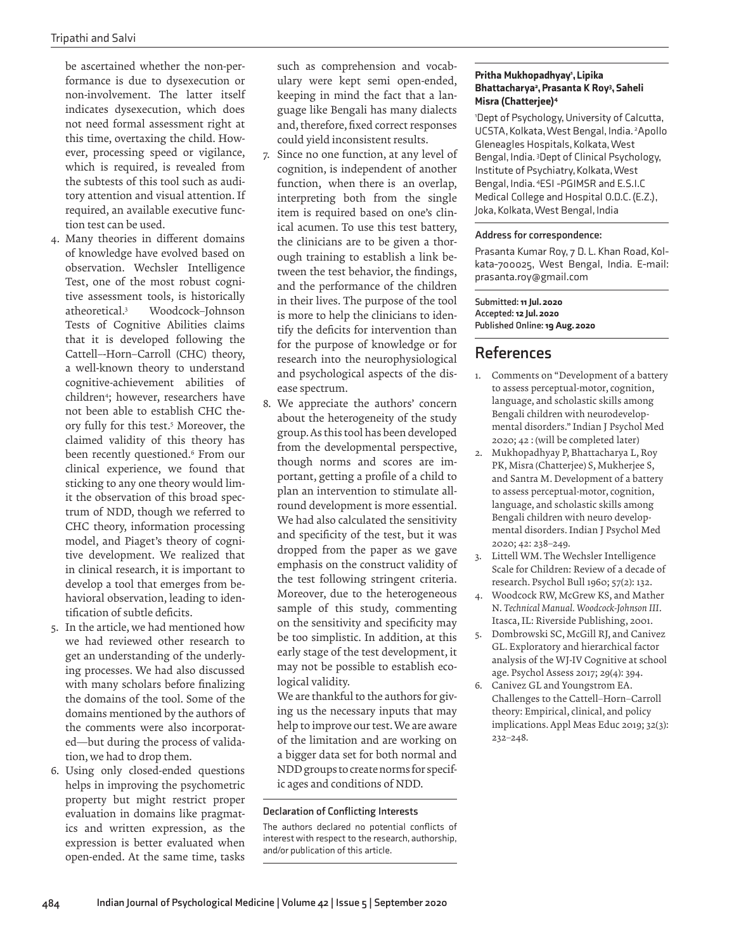be ascertained whether the non-performance is due to dysexecution or non-involvement. The latter itself indicates dysexecution, which does not need formal assessment right at this time, overtaxing the child. However, processing speed or vigilance, which is required, is revealed from the subtests of this tool such as auditory attention and visual attention. If required, an available executive function test can be used.

- 4. Many theories in different domains of knowledge have evolved based on observation. Wechsler Intelligence Test, one of the most robust cognitive assessment tools, is historically atheoretical.<sup>3</sup> Woodcock–Johnson Tests of Cognitive Abilities claims that it is developed following the Cattell–-Horn–Carroll (CHC) theory, a well-known theory to understand cognitive-achievement abilities of children<sup>4</sup> ; however, researchers have not been able to establish CHC theory fully for this test.<sup>5</sup> Moreover, the claimed validity of this theory has been recently questioned.<sup>6</sup> From our clinical experience, we found that sticking to any one theory would limit the observation of this broad spectrum of NDD, though we referred to CHC theory, information processing model, and Piaget's theory of cognitive development. We realized that in clinical research, it is important to develop a tool that emerges from behavioral observation, leading to identification of subtle deficits.
- 5. In the article, we had mentioned how we had reviewed other research to get an understanding of the underlying processes. We had also discussed with many scholars before finalizing the domains of the tool. Some of the domains mentioned by the authors of the comments were also incorporated—but during the process of validation, we had to drop them.
- 6. Using only closed-ended questions helps in improving the psychometric property but might restrict proper evaluation in domains like pragmatics and written expression, as the expression is better evaluated when open-ended. At the same time, tasks

such as comprehension and vocabulary were kept semi open-ended, keeping in mind the fact that a language like Bengali has many dialects and, therefore, fixed correct responses could yield inconsistent results.

- 7. Since no one function, at any level of cognition, is independent of another function, when there is an overlap, interpreting both from the single item is required based on one's clinical acumen. To use this test battery, the clinicians are to be given a thorough training to establish a link between the test behavior, the findings, and the performance of the children in their lives. The purpose of the tool is more to help the clinicians to identify the deficits for intervention than for the purpose of knowledge or for research into the neurophysiological and psychological aspects of the disease spectrum.
- 8. We appreciate the authors' concern about the heterogeneity of the study group. As this tool has been developed from the developmental perspective, though norms and scores are important, getting a profile of a child to plan an intervention to stimulate allround development is more essential. We had also calculated the sensitivity and specificity of the test, but it was dropped from the paper as we gave emphasis on the construct validity of the test following stringent criteria. Moreover, due to the heterogeneous sample of this study, commenting on the sensitivity and specificity may be too simplistic. In addition, at this early stage of the test development, it may not be possible to establish ecological validity.

 We are thankful to the authors for giving us the necessary inputs that may help to improve our test. We are aware of the limitation and are working on a bigger data set for both normal and NDD groups to create norms for specific ages and conditions of NDD.

### **Declaration of Conflicting Interests**

The authors declared no potential conflicts of interest with respect to the research, authorship, and/or publication of this article.

### Pritha Mukhopadhyay', Lipika Bhattacharya<sup>2</sup>, Prasanta K Roy<sup>3</sup>, Saheli Misra (Chatterjee)<sup>4</sup>

<sup>1</sup>Dept of Psychology, University of Calcutta, UCSTA, Kolkata, West Bengal, India. <sup>2</sup>Apollo Gleneagles Hospitals, Kolkata, West Bengal, India. <sup>3</sup>Dept of Clinical Psychology, Institute of Psychiatry, Kolkata, West Bengal, India. <sup>4</sup>ESI -PGIMSR and E.S.I.C Medical College and Hospital O.D.C. (E.Z.), Joka, Kolkata, West Bengal, India

### **Address for correspondence:**

Prasanta Kumar Roy, 7 D. L. Khan Road, Kolkata-700025, West Bengal, India. E-mail: prasanta.roy@gmail.com

**Submitted:** 11 Jul. 2020 **Accepted:** 12 Jul. 2020 **Published Online:** 19 Aug. 2020

### **References**

- 1. Comments on "Development of a battery to assess perceptual-motor, cognition, language, and scholastic skills among Bengali children with neurodevelopmental disorders." Indian J Psychol Med 2020; 42 : (will be completed later)
- 2. Mukhopadhyay P, Bhattacharya L, Roy PK, Misra (Chatterjee) S, Mukherjee S, and Santra M. Development of a battery to assess perceptual-motor, cognition, language, and scholastic skills among Bengali children with neuro developmental disorders. Indian J Psychol Med 2020; 42: 238–249.
- 3. Littell WM. The Wechsler Intelligence Scale for Children: Review of a decade of research. Psychol Bull 1960; 57(2): 132.
- 4. Woodcock RW, McGrew KS, and Mather N. *Technical Manual. Woodcock-Johnson III*. Itasca, IL: Riverside Publishing, 2001.
- 5. Dombrowski SC, McGill RJ, and Canivez GL. Exploratory and hierarchical factor analysis of the WJ-IV Cognitive at school age. Psychol Assess 2017; 29(4): 394.
- 6. Canivez GL and Youngstrom EA. Challenges to the Cattell–Horn–Carroll theory: Empirical, clinical, and policy implications. Appl Meas Educ 2019; 32(3): 232–248.